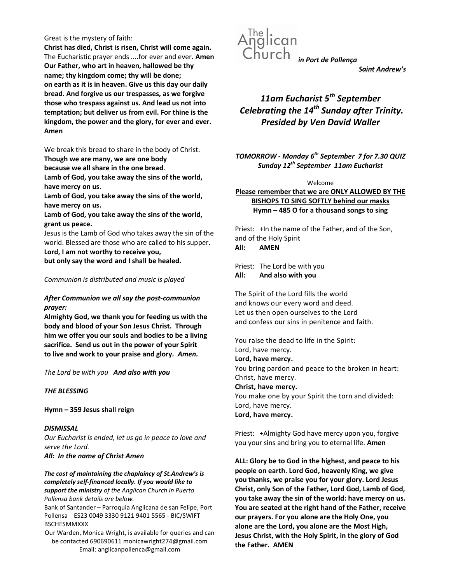### Great is the mystery of faith:

Christ has died, Christ is risen, Christ will come again. The Eucharistic prayer ends ....for ever and ever. Amen Our Father, who art in heaven, hallowed be thy name; thy kingdom come; thy will be done; on earth as it is in heaven. Give us this day our daily bread. And forgive us our trespasses, as we forgive those who trespass against us. And lead us not into temptation; but deliver us from evil. For thine is the kingdom, the power and the glory, for ever and ever. Amen

We break this bread to share in the body of Christ.

Though we are many, we are one body

because we all share in the one bread.

Lamb of God, you take away the sins of the world, have mercy on us.

Lamb of God, you take away the sins of the world, have mercy on us.

Lamb of God, you take away the sins of the world, grant us peace.

Jesus is the Lamb of God who takes away the sin of the world. Blessed are those who are called to his supper. Lord, I am not worthy to receive you,

but only say the word and I shall be healed.

## Communion is distributed and music is played

# After Communion we all say the post-communion prayer:

Almighty God, we thank you for feeding us with the body and blood of your Son Jesus Christ. Through him we offer you our souls and bodies to be a living sacrifice. Send us out in the power of your Spirit to live and work to your praise and glory. Amen.

The Lord be with you And also with you

## THE BLESSING

Hymn – 359 Jesus shall reign

**DISMISSAL** Our Eucharist is ended, let us go in peace to love and serve the Lord. All: In the name of Christ Amen

The cost of maintaining the chaplaincy of St.Andrew's is completely self-financed locally. If you would like to support the ministry of the Anglican Church in Puerto Pollensa bank details are below.

Bank of Santander – Parroquia Anglicana de san Felipe, Port Pollensa ES23 0049 3330 9121 9401 5565 - BIC/SWIFT BSCHESMMXXX

Our Warden, Monica Wright, is available for queries and can be contacted 690690611 monicawright274@gmail.com Email: anglicanpollenca@gmail.com



Saint Andrew's

# 11am Eucharist  $5<sup>th</sup>$  September Celebrating the  $14^{th}$  Sunday after Trinity. Presided by Ven David Waller

TOMORROW - Monday  $6<sup>th</sup>$  September 7 for 7.30 QUIZ Sunday  $12^{th}$  September 11am Eucharist

#### Welcome

# Please remember that we are ONLY ALLOWED BY THE BISHOPS TO SING SOFTLY behind our masks Hymn – 485 O for a thousand songs to sing

Priest: +In the name of the Father, and of the Son, and of the Holy Spirit All: AMEN

Priest: The Lord be with you All: And also with you

The Spirit of the Lord fills the world and knows our every word and deed. Let us then open ourselves to the Lord and confess our sins in penitence and faith.

You raise the dead to life in the Spirit: Lord, have mercy. Lord, have mercy. You bring pardon and peace to the broken in heart: Christ, have mercy. Christ, have mercy. You make one by your Spirit the torn and divided: Lord, have mercy. Lord, have mercy.

Priest: +Almighty God have mercy upon you, forgive you your sins and bring you to eternal life. Amen

ALL: Glory be to God in the highest, and peace to his people on earth. Lord God, heavenly King, we give you thanks, we praise you for your glory. Lord Jesus Christ, only Son of the Father, Lord God, Lamb of God, you take away the sin of the world: have mercy on us. You are seated at the right hand of the Father, receive our prayers. For you alone are the Holy One, you alone are the Lord, you alone are the Most High, Jesus Christ, with the Holy Spirit, in the glory of God the Father. AMEN